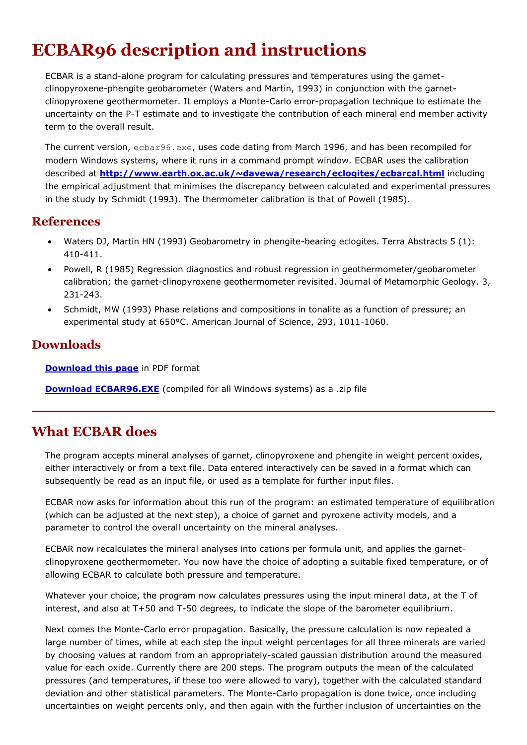# **ECBAR96 description and instructions**

ECBAR is a stand-alone program for calculating pressures and temperatures using the garnetclinopyroxene-phengite geobarometer (Waters and Martin, 1993) in conjunction with the garnetclinopyroxene geothermometer. It employs a Monte-Carlo error-propagation technique to estimate the uncertainty on the P-T estimate and to investigate the contribution of each mineral end member activity term to the overall result.

The current version, ecbar96.exe, uses code dating from March 1996, and has been recompiled for modern Windows systems, where it runs in a command prompt window. ECBAR uses the calibration described at **<http://www.earth.ox.ac.uk/~davewa/research/eclogites/ecbarcal.html>** including the empirical adjustment that minimises the discrepancy between calculated and experimental pressures in the study by Schmidt (1993). The thermometer calibration is that of Powell (1985).

### **References**

- Waters DJ, Martin HN (1993) Geobarometry in phengite-bearing eclogites. Terra Abstracts 5 (1): 410-411.
- Powell, R (1985) Regression diagnostics and robust regression in geothermometer/geobarometer calibration; the garnet-clinopyroxene geothermometer revisited. Journal of Metamorphic Geology. 3, 231-243.
- Schmidt, MW (1993) Phase relations and compositions in tonalite as a function of pressure; an experimental study at 650°C. American Journal of Science, 293, 1011-1060.

## **Downloads**

**[Download this page](http://www.earth.ox.ac.uk/~davewa/research/ECBAR_ReadMe.pdf)** in PDF format

**[Download ECBAR96.EXE](http://www.earth.ox.ac.uk/~davewa/research/ecbar96.zip)** (compiled for all Windows systems) as a .zip file

## **What ECBAR does**

The program accepts mineral analyses of garnet, clinopyroxene and phengite in weight percent oxides, either interactively or from a text file. Data entered interactively can be saved in a format which can subsequently be read as an input file, or used as a template for further input files.

ECBAR now asks for information about this run of the program: an estimated temperature of equilibration (which can be adjusted at the next step), a choice of garnet and pyroxene activity models, and a parameter to control the overall uncertainty on the mineral analyses.

ECBAR now recalculates the mineral analyses into cations per formula unit, and applies the garnetclinopyroxene geothermometer. You now have the choice of adopting a suitable fixed temperature, or of allowing ECBAR to calculate both pressure and temperature.

Whatever your choice, the program now calculates pressures using the input mineral data, at the T of interest, and also at T+50 and T-50 degrees, to indicate the slope of the barometer equilibrium.

Next comes the Monte-Carlo error propagation. Basically, the pressure calculation is now repeated a large number of times, while at each step the input weight percentages for all three minerals are varied by choosing values at random from an appropriately-scaled gaussian distribution around the measured value for each oxide. Currently there are 200 steps. The program outputs the mean of the calculated pressures (and temperatures, if these too were allowed to vary), together with the calculated standard deviation and other statistical parameters. The Monte-Carlo propagation is done twice, once including uncertainties on weight percents only, and then again with the further inclusion of uncertainties on the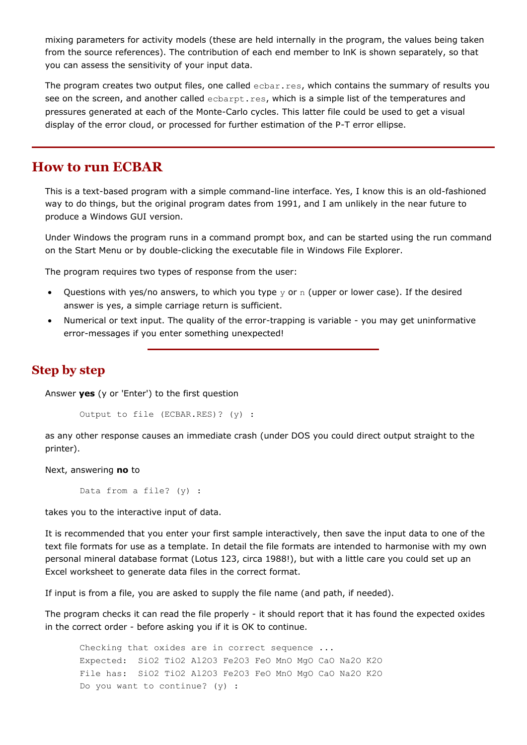mixing parameters for activity models (these are held internally in the program, the values being taken from the source references). The contribution of each end member to lnK is shown separately, so that you can assess the sensitivity of your input data.

The program creates two output files, one called ecbar.res, which contains the summary of results you see on the screen, and another called ecbarpt.res, which is a simple list of the temperatures and pressures generated at each of the Monte-Carlo cycles. This latter file could be used to get a visual display of the error cloud, or processed for further estimation of the P-T error ellipse.

#### **How to run ECBAR**

This is a text-based program with a simple command-line interface. Yes, I know this is an old-fashioned way to do things, but the original program dates from 1991, and I am unlikely in the near future to produce a Windows GUI version.

Under Windows the program runs in a command prompt box, and can be started using the run command on the Start Menu or by double-clicking the executable file in Windows File Explorer.

The program requires two types of response from the user:

- Questions with yes/no answers, to which you type  $y$  or n (upper or lower case). If the desired answer is yes, a simple carriage return is sufficient.
- Numerical or text input. The quality of the error-trapping is variable you may get uninformative error-messages if you enter something unexpected!

#### **Step by step**

Answer **yes** (y or 'Enter') to the first question

Output to file (ECBAR.RES)? (y) :

as any other response causes an immediate crash (under DOS you could direct output straight to the printer).

Next, answering **no** to

Data from a file? (y) :

takes you to the interactive input of data.

It is recommended that you enter your first sample interactively, then save the input data to one of the text file formats for use as a template. In detail the file formats are intended to harmonise with my own personal mineral database format (Lotus 123, circa 1988!), but with a little care you could set up an Excel worksheet to generate data files in the correct format.

If input is from a file, you are asked to supply the file name (and path, if needed).

The program checks it can read the file properly - it should report that it has found the expected oxides in the correct order - before asking you if it is OK to continue.

Checking that oxides are in correct sequence ... Expected: SiO2 TiO2 Al2O3 Fe2O3 FeO MnO MgO CaO Na2O K2O File has: SiO2 TiO2 Al2O3 Fe2O3 FeO MnO MgO CaO Na2O K2O Do you want to continue? (y) :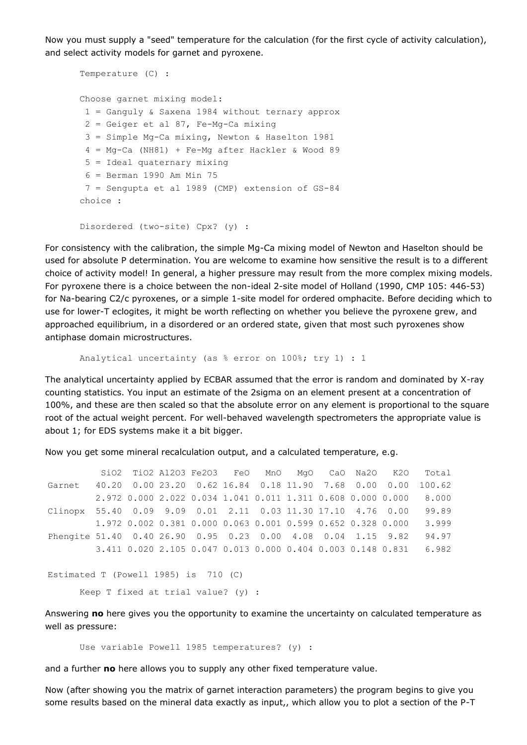Now you must supply a "seed" temperature for the calculation (for the first cycle of activity calculation), and select activity models for garnet and pyroxene.

```
Temperature (C) :
Choose garnet mixing model:
 1 = Ganguly & Saxena 1984 without ternary approx
 2 = \text{Geiger et al } 87, Fe-Mg-Ca mixing
 3 = Simple Mg-Ca mixing, Newton & Haselton 1981
 4 = Mg-Ca (NH81) + Fe-Mq after Hackler & Wood 895 = Ideal quaternary mixing
 6 = Berman 1990 Am Min 75
 7 = Sengupta et al 1989 (CMP) extension of GS-84
choice :
```

```
Disordered (two-site) Cpx? (y) :
```
For consistency with the calibration, the simple Mg-Ca mixing model of Newton and Haselton should be used for absolute P determination. You are welcome to examine how sensitive the result is to a different choice of activity model! In general, a higher pressure may result from the more complex mixing models. For pyroxene there is a choice between the non-ideal 2-site model of Holland (1990, CMP 105: 446-53) for Na-bearing C2/c pyroxenes, or a simple 1-site model for ordered omphacite. Before deciding which to use for lower-T eclogites, it might be worth reflecting on whether you believe the pyroxene grew, and approached equilibrium, in a disordered or an ordered state, given that most such pyroxenes show antiphase domain microstructures.

Analytical uncertainty (as % error on 100%; try 1) : 1

The analytical uncertainty applied by ECBAR assumed that the error is random and dominated by X-ray counting statistics. You input an estimate of the 2sigma on an element present at a concentration of 100%, and these are then scaled so that the absolute error on any element is proportional to the square root of the actual weight percent. For well-behaved wavelength spectrometers the appropriate value is about 1; for EDS systems make it a bit bigger.

Now you get some mineral recalculation output, and a calculated temperature, e.g.

 SiO2 TiO2 Al2O3 Fe2O3 FeO MnO MgO CaO Na2O K2O Total Garnet 40.20 0.00 23.20 0.62 16.84 0.18 11.90 7.68 0.00 0.00 100.62 2.972 0.000 2.022 0.034 1.041 0.011 1.311 0.608 0.000 0.000 8.000 Clinopx 55.40 0.09 9.09 0.01 2.11 0.03 11.30 17.10 4.76 0.00 99.89 1.972 0.002 0.381 0.000 0.063 0.001 0.599 0.652 0.328 0.000 3.999 Phengite 51.40 0.40 26.90 0.95 0.23 0.00 4.08 0.04 1.15 9.82 94.97 3.411 0.020 2.105 0.047 0.013 0.000 0.404 0.003 0.148 0.831 6.982

```
Estimated T (Powell 1985) is 710 (C)
```
Keep T fixed at trial value? (y) :

Answering **no** here gives you the opportunity to examine the uncertainty on calculated temperature as well as pressure:

Use variable Powell 1985 temperatures? (y) :

and a further **no** here allows you to supply any other fixed temperature value.

Now (after showing you the matrix of garnet interaction parameters) the program begins to give you some results based on the mineral data exactly as input,, which allow you to plot a section of the P-T